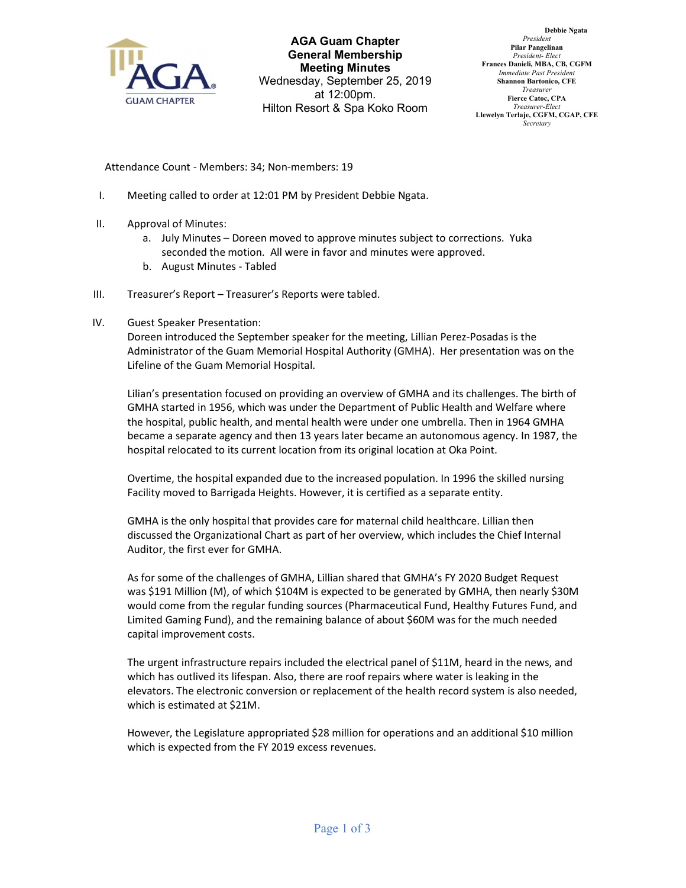

AGA Guam Chapter General Membership Meeting Minutes Wednesday, September 25, 2019 at 12:00pm. Hilton Resort & Spa Koko Room

Debbie Ngata President Pilar Pangelinan President- Elect Frances Danieli, MBA, CB, CGFM Immediate Past President Shannon Bartonico, CFE Treasurer Fierce Catoc, CPA Treasurer-Elect Llewelyn Terlaje, CGFM, CGAP, CFE Secretary

Attendance Count - Members: 34; Non-members: 19

- I. Meeting called to order at 12:01 PM by President Debbie Ngata.
- II. Approval of Minutes:
	- a. July Minutes Doreen moved to approve minutes subject to corrections. Yuka seconded the motion. All were in favor and minutes were approved.
	- b. August Minutes Tabled
- III. Treasurer's Report Treasurer's Reports were tabled.
- IV. Guest Speaker Presentation:

Doreen introduced the September speaker for the meeting, Lillian Perez-Posadas is the Administrator of the Guam Memorial Hospital Authority (GMHA). Her presentation was on the Lifeline of the Guam Memorial Hospital.

Lilian's presentation focused on providing an overview of GMHA and its challenges. The birth of GMHA started in 1956, which was under the Department of Public Health and Welfare where the hospital, public health, and mental health were under one umbrella. Then in 1964 GMHA became a separate agency and then 13 years later became an autonomous agency. In 1987, the hospital relocated to its current location from its original location at Oka Point.

Overtime, the hospital expanded due to the increased population. In 1996 the skilled nursing Facility moved to Barrigada Heights. However, it is certified as a separate entity.

GMHA is the only hospital that provides care for maternal child healthcare. Lillian then discussed the Organizational Chart as part of her overview, which includes the Chief Internal Auditor, the first ever for GMHA.

As for some of the challenges of GMHA, Lillian shared that GMHA's FY 2020 Budget Request was \$191 Million (M), of which \$104M is expected to be generated by GMHA, then nearly \$30M would come from the regular funding sources (Pharmaceutical Fund, Healthy Futures Fund, and Limited Gaming Fund), and the remaining balance of about \$60M was for the much needed capital improvement costs.

The urgent infrastructure repairs included the electrical panel of \$11M, heard in the news, and which has outlived its lifespan. Also, there are roof repairs where water is leaking in the elevators. The electronic conversion or replacement of the health record system is also needed, which is estimated at \$21M.

However, the Legislature appropriated \$28 million for operations and an additional \$10 million which is expected from the FY 2019 excess revenues.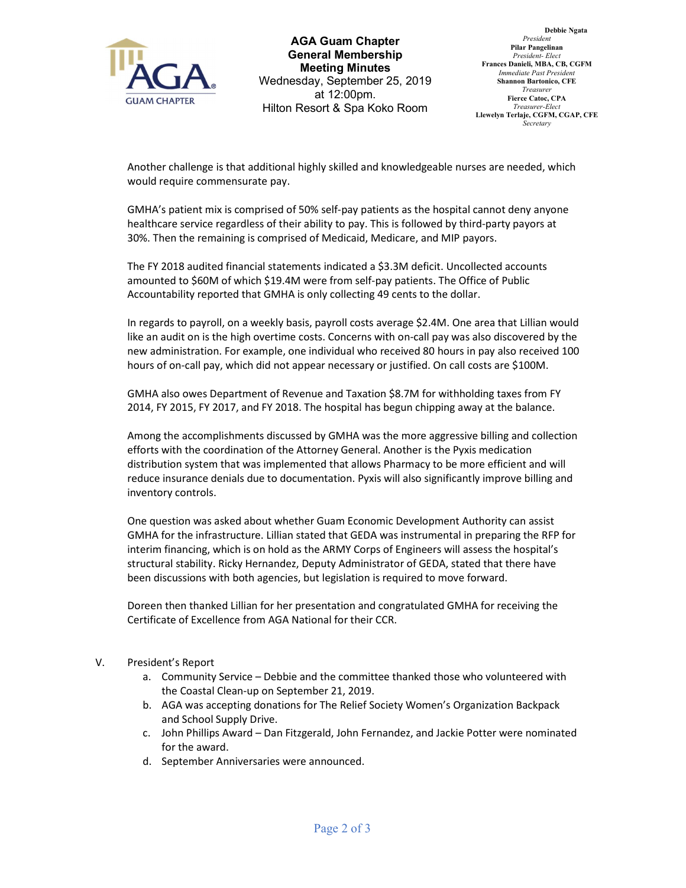

AGA Guam Chapter General Membership Meeting Minutes Wednesday, September 25, 2019 at 12:00pm. Hilton Resort & Spa Koko Room

Debbie Ngata President Pilar Pangelinan President- Elect Frances Danieli, MBA, CB, CGFM Immediate Past President Shannon Bartonico, CFE Treasurer Fierce Catoc, CPA Treasurer-Elect Llewelyn Terlaje, CGFM, CGAP, CFE **Secretary** 

Another challenge is that additional highly skilled and knowledgeable nurses are needed, which would require commensurate pay.

GMHA's patient mix is comprised of 50% self-pay patients as the hospital cannot deny anyone healthcare service regardless of their ability to pay. This is followed by third-party payors at 30%. Then the remaining is comprised of Medicaid, Medicare, and MIP payors.

The FY 2018 audited financial statements indicated a \$3.3M deficit. Uncollected accounts amounted to \$60M of which \$19.4M were from self-pay patients. The Office of Public Accountability reported that GMHA is only collecting 49 cents to the dollar.

In regards to payroll, on a weekly basis, payroll costs average \$2.4M. One area that Lillian would like an audit on is the high overtime costs. Concerns with on-call pay was also discovered by the new administration. For example, one individual who received 80 hours in pay also received 100 hours of on-call pay, which did not appear necessary or justified. On call costs are \$100M.

GMHA also owes Department of Revenue and Taxation \$8.7M for withholding taxes from FY 2014, FY 2015, FY 2017, and FY 2018. The hospital has begun chipping away at the balance.

Among the accomplishments discussed by GMHA was the more aggressive billing and collection efforts with the coordination of the Attorney General. Another is the Pyxis medication distribution system that was implemented that allows Pharmacy to be more efficient and will reduce insurance denials due to documentation. Pyxis will also significantly improve billing and inventory controls.

One question was asked about whether Guam Economic Development Authority can assist GMHA for the infrastructure. Lillian stated that GEDA was instrumental in preparing the RFP for interim financing, which is on hold as the ARMY Corps of Engineers will assess the hospital's structural stability. Ricky Hernandez, Deputy Administrator of GEDA, stated that there have been discussions with both agencies, but legislation is required to move forward.

Doreen then thanked Lillian for her presentation and congratulated GMHA for receiving the Certificate of Excellence from AGA National for their CCR.

## V. President's Report

- a. Community Service Debbie and the committee thanked those who volunteered with the Coastal Clean-up on September 21, 2019.
- b. AGA was accepting donations for The Relief Society Women's Organization Backpack and School Supply Drive.
- c. John Phillips Award Dan Fitzgerald, John Fernandez, and Jackie Potter were nominated for the award.
- d. September Anniversaries were announced.